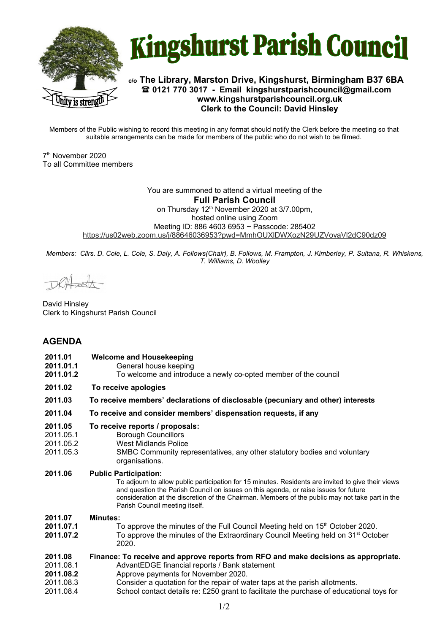



## **c/o The Library, Marston Drive, Kingshurst, Birmingham B37 6BA 0121 770 3017 - Email [kingshurstparishcouncil@gmail.com](mailto:kingshurstparishcouncil@gmail.com) www.kingshurstparishcouncil.org.uk Clerk to the Council: David Hinsley**

Members of the Public wishing to record this meeting in any format should notify the Clerk before the meeting so that suitable arrangements can be made for members of the public who do not wish to be filmed.

7 th November 2020 To all Committee members

> You are summoned to attend a virtual meeting of the **Full Parish Council**  on Thursday 12<sup>th</sup> November 2020 at 3/7.00pm, hosted online using Zoom Meeting ID: 886 4603 6953 ~ Passcode: 285402 <https://us02web.zoom.us/j/88646036953?pwd=MmhOUXlDWXozN29UZVovaVl2dC90dz09>

*Members: Cllrs. D. Cole, L. Cole, S. Daly, A. Follows(Chair), B. Follows, M. Frampton, J. Kimberley, P. Sultana, R. Whiskens, T. Williams, D. Woolley*

David Hinsley Clerk to Kingshurst Parish Council

# **AGENDA**

| 2011.01<br>2011.01.1<br>2011.01.2                           | <b>Welcome and Housekeeping</b><br>General house keeping<br>To welcome and introduce a newly co-opted member of the council                                                                                                                                                                                                                                     |
|-------------------------------------------------------------|-----------------------------------------------------------------------------------------------------------------------------------------------------------------------------------------------------------------------------------------------------------------------------------------------------------------------------------------------------------------|
| 2011.02                                                     | To receive apologies                                                                                                                                                                                                                                                                                                                                            |
| 2011.03                                                     | To receive members' declarations of disclosable (pecuniary and other) interests                                                                                                                                                                                                                                                                                 |
| 2011.04                                                     | To receive and consider members' dispensation requests, if any                                                                                                                                                                                                                                                                                                  |
| 2011.05<br>2011.05.1<br>2011.05.2<br>2011.05.3              | To receive reports / proposals:<br><b>Borough Councillors</b><br><b>West Midlands Police</b><br>SMBC Community representatives, any other statutory bodies and voluntary<br>organisations.                                                                                                                                                                      |
| 2011.06                                                     | <b>Public Participation:</b><br>To adjourn to allow public participation for 15 minutes. Residents are invited to give their views<br>and question the Parish Council on issues on this agenda, or raise issues for future<br>consideration at the discretion of the Chairman. Members of the public may not take part in the<br>Parish Council meeting itself. |
| 2011.07<br>2011.07.1<br>2011.07.2                           | <b>Minutes:</b><br>To approve the minutes of the Full Council Meeting held on 15 <sup>th</sup> October 2020.<br>To approve the minutes of the Extraordinary Council Meeting held on 31 <sup>st</sup> October<br>2020.                                                                                                                                           |
| 2011.08<br>2011.08.1<br>2011.08.2<br>2011.08.3<br>2011.08.4 | Finance: To receive and approve reports from RFO and make decisions as appropriate.<br>AdvantEDGE financial reports / Bank statement<br>Approve payments for November 2020.<br>Consider a quotation for the repair of water taps at the parish allotments.<br>School contact details re: £250 grant to facilitate the purchase of educational toys for          |